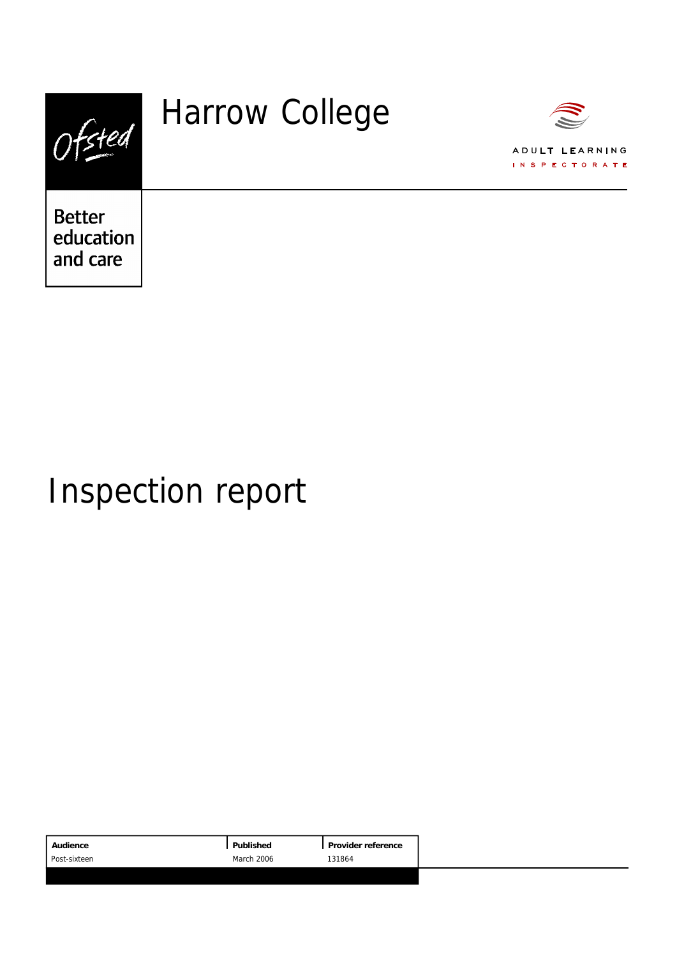|                                        | <b>Harrow College</b> | ADULT LEARNING<br><b>INSPECTORATE</b> |
|----------------------------------------|-----------------------|---------------------------------------|
| <b>Better</b><br>education<br>and care |                       |                                       |

# Inspection report

|                                      | Audience | Published | Provider reference |
|--------------------------------------|----------|-----------|--------------------|
| March 2006<br>131864<br>Post-sixteen |          |           |                    |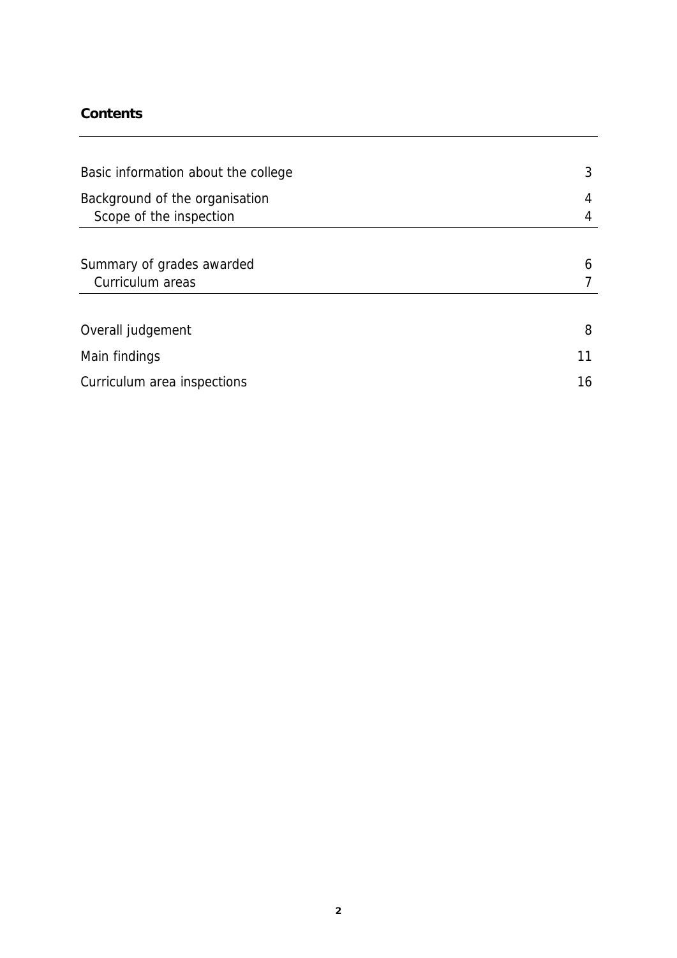### **Contents**

| Basic information about the college                       |    |  |  |  |
|-----------------------------------------------------------|----|--|--|--|
| Background of the organisation<br>Scope of the inspection | 4  |  |  |  |
|                                                           |    |  |  |  |
| Summary of grades awarded                                 | 6  |  |  |  |
| Curriculum areas                                          |    |  |  |  |
|                                                           |    |  |  |  |
| Overall judgement                                         | 8  |  |  |  |
| Main findings                                             | 11 |  |  |  |
| Curriculum area inspections                               | 16 |  |  |  |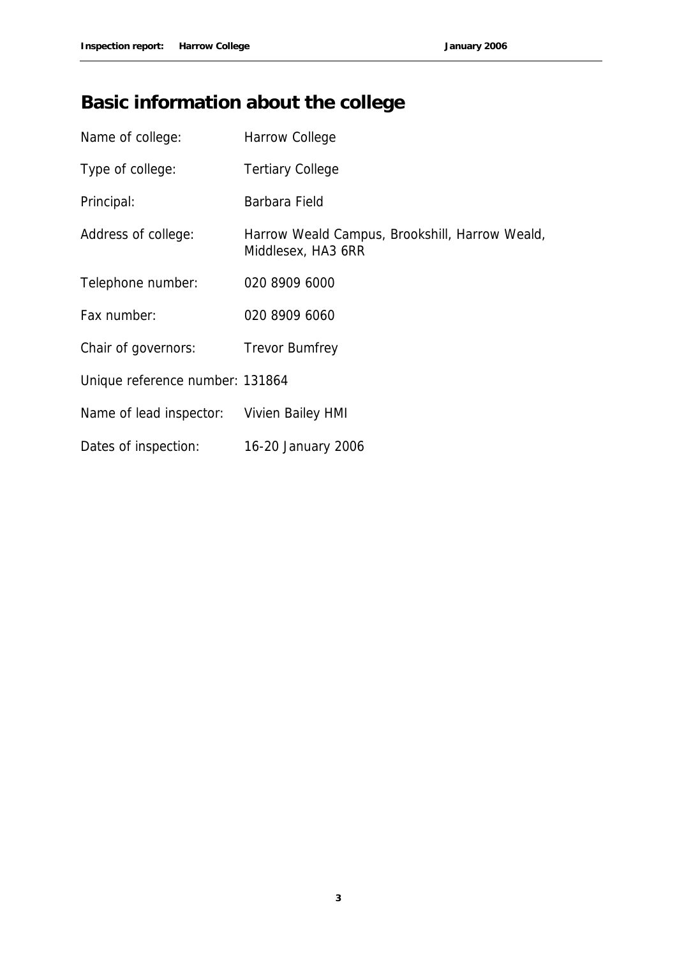## **Basic information about the college**

| Name of college:                | Harrow College                                                       |
|---------------------------------|----------------------------------------------------------------------|
| Type of college:                | <b>Tertiary College</b>                                              |
| Principal:                      | Barbara Field                                                        |
| Address of college:             | Harrow Weald Campus, Brookshill, Harrow Weald,<br>Middlesex, HA3 6RR |
| Telephone number:               | 020 8909 6000                                                        |
| Fax number:                     | 020 8909 6060                                                        |
| Chair of governors:             | <b>Trevor Bumfrey</b>                                                |
| Unique reference number: 131864 |                                                                      |
| Name of lead inspector:         | Vivien Bailey HMI                                                    |
| Dates of inspection:            | 16-20 January 2006                                                   |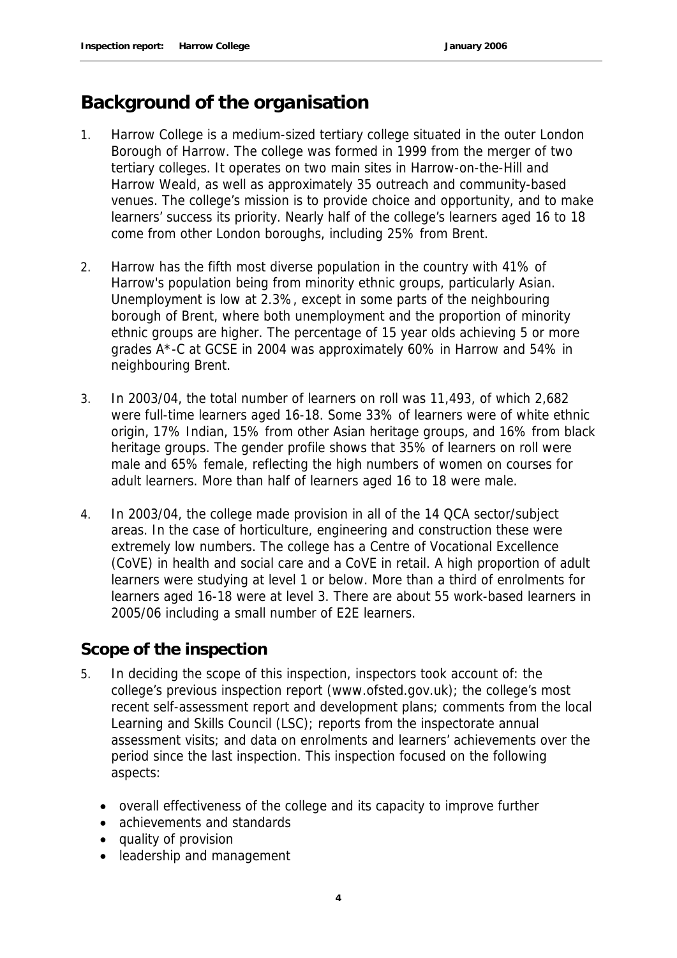### **Background of the organisation**

- 1. Harrow College is a medium-sized tertiary college situated in the outer London Borough of Harrow. The college was formed in 1999 from the merger of two tertiary colleges. It operates on two main sites in Harrow-on-the-Hill and Harrow Weald, as well as approximately 35 outreach and community-based venues. The college's mission is to provide choice and opportunity, and to make learners' success its priority. Nearly half of the college's learners aged 16 to 18 come from other London boroughs, including 25% from Brent.
- 2. Harrow has the fifth most diverse population in the country with 41% of Harrow's population being from minority ethnic groups, particularly Asian. Unemployment is low at 2.3%, except in some parts of the neighbouring borough of Brent, where both unemployment and the proportion of minority ethnic groups are higher. The percentage of 15 year olds achieving 5 or more grades A\*-C at GCSE in 2004 was approximately 60% in Harrow and 54% in neighbouring Brent.
- 3. In 2003/04, the total number of learners on roll was 11,493, of which 2,682 were full-time learners aged 16-18. Some 33% of learners were of white ethnic origin, 17% Indian, 15% from other Asian heritage groups, and 16% from black heritage groups. The gender profile shows that 35% of learners on roll were male and 65% female, reflecting the high numbers of women on courses for adult learners. More than half of learners aged 16 to 18 were male.
- 4. In 2003/04, the college made provision in all of the 14 QCA sector/subject areas. In the case of horticulture, engineering and construction these were extremely low numbers. The college has a Centre of Vocational Excellence (CoVE) in health and social care and a CoVE in retail. A high proportion of adult learners were studying at level 1 or below. More than a third of enrolments for learners aged 16-18 were at level 3. There are about 55 work-based learners in 2005/06 including a small number of E2E learners.

### **Scope of the inspection**

- 5. In deciding the scope of this inspection, inspectors took account of: the college's previous inspection report (www.ofsted.gov.uk); the college's most recent self-assessment report and development plans; comments from the local Learning and Skills Council (LSC); reports from the inspectorate annual assessment visits; and data on enrolments and learners' achievements over the period since the last inspection. This inspection focused on the following aspects:
	- overall effectiveness of the college and its capacity to improve further
	- achievements and standards
	- quality of provision
	- leadership and management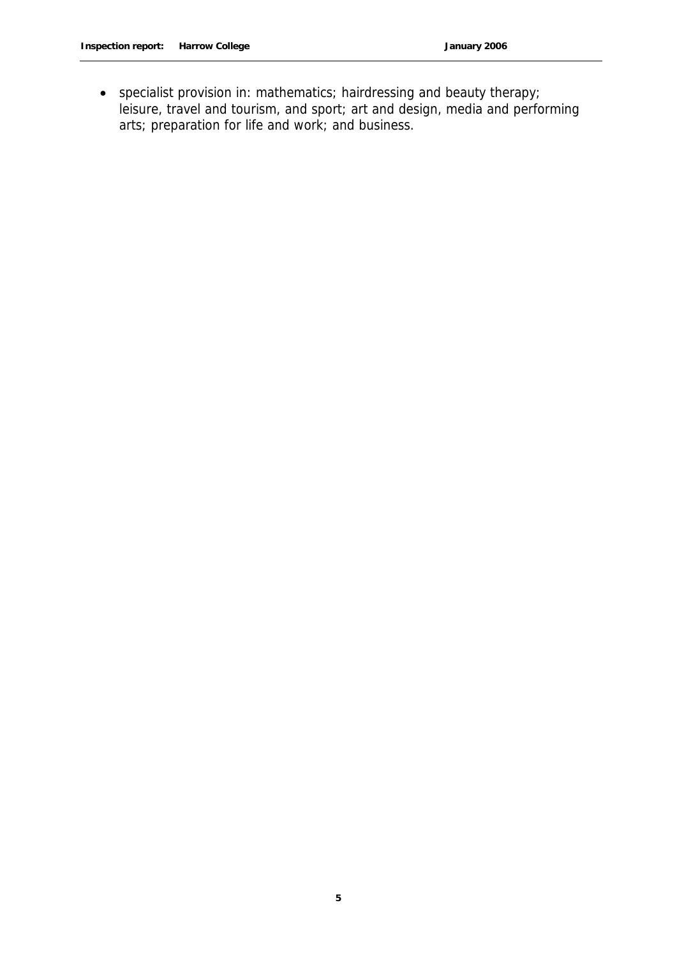specialist provision in: mathematics; hairdressing and beauty therapy; leisure, travel and tourism, and sport; art and design, media and performing arts; preparation for life and work; and business.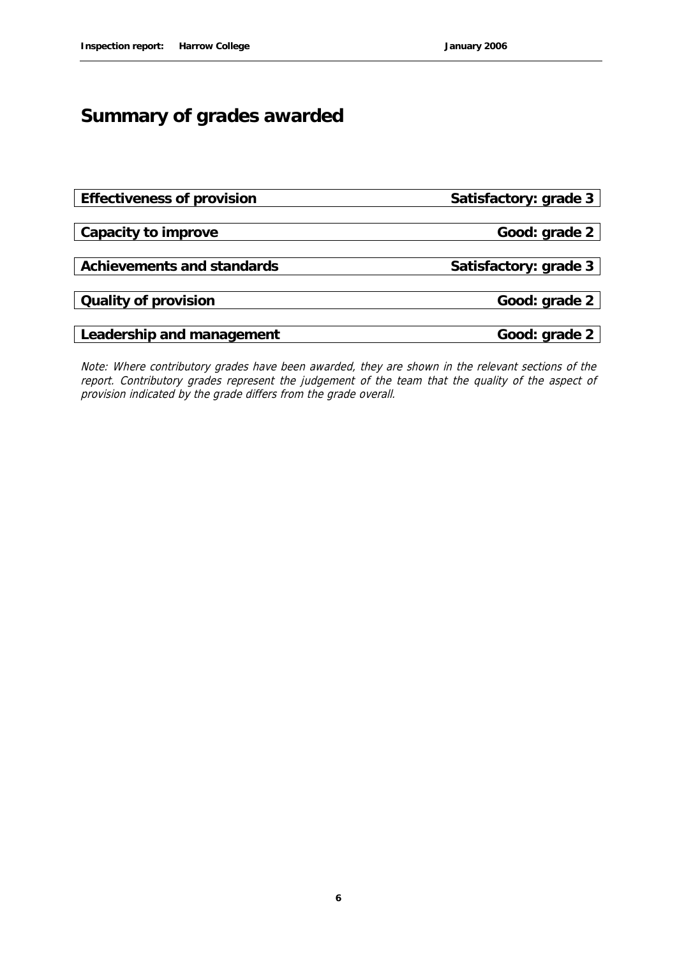## **Summary of grades awarded**

| Effectiveness of provision | Satisfactory: grade 3 |
|----------------------------|-----------------------|
|                            |                       |
| Capacity to improve        | Good: grade 2         |
|                            |                       |
| Achievements and standards | Satisfactory: grade 3 |
|                            |                       |
| Quality of provision       | Good: grade 2         |
|                            |                       |
| Leadership and management  | Good: grade 2         |

Note: Where contributory grades have been awarded, they are shown in the relevant sections of the report. Contributory grades represent the judgement of the team that the quality of the aspect of provision indicated by the grade differs from the grade overall.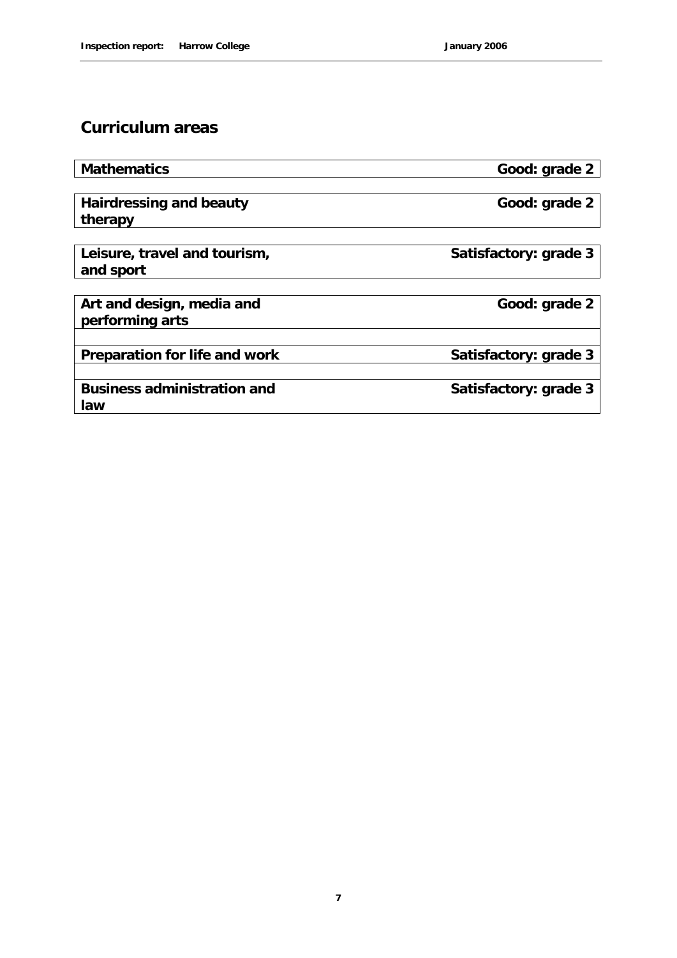### **Curriculum areas**

| Mathematics                   | Good: grade 2         |
|-------------------------------|-----------------------|
|                               |                       |
| Hairdressing and beauty       | Good: grade 2         |
| therapy                       |                       |
|                               |                       |
| Leisure, travel and tourism,  | Satisfactory: grade 3 |
| and sport                     |                       |
|                               |                       |
| Art and design, media and     | Good: grade 2         |
| performing arts               |                       |
|                               |                       |
| Preparation for life and work | Satisfactory: grade 3 |
|                               |                       |
| Business administration and   | Satisfactory: grade 3 |
| law                           |                       |
|                               |                       |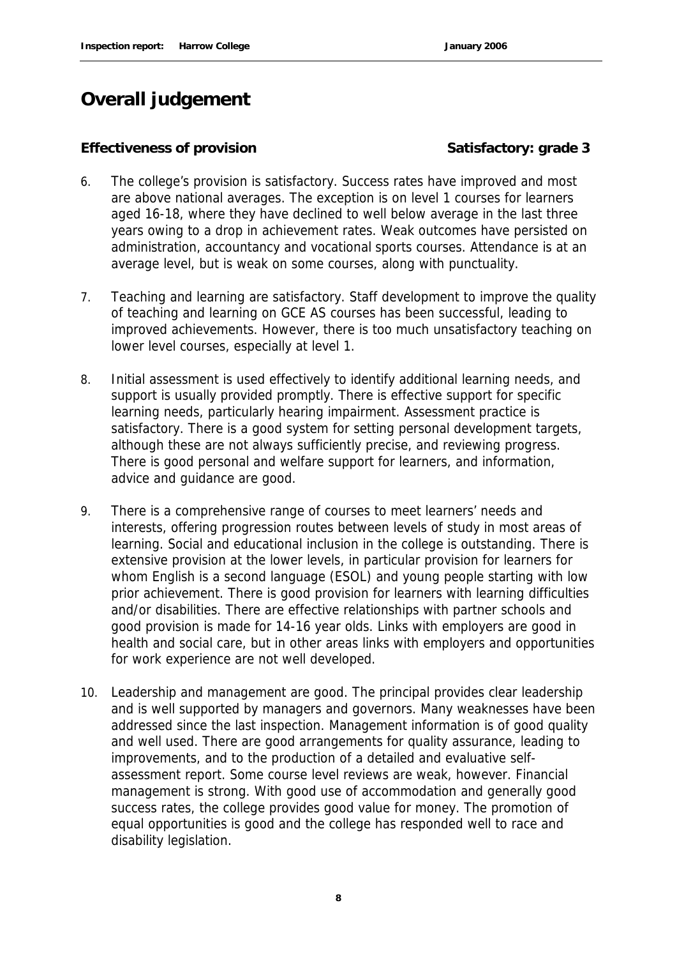## **Overall judgement**

#### Effectiveness of provision **Satisfactory: grade 3**

- 6. The college's provision is satisfactory. Success rates have improved and most are above national averages. The exception is on level 1 courses for learners aged 16-18, where they have declined to well below average in the last three years owing to a drop in achievement rates. Weak outcomes have persisted on administration, accountancy and vocational sports courses. Attendance is at an average level, but is weak on some courses, along with punctuality.
- 7. Teaching and learning are satisfactory. Staff development to improve the quality of teaching and learning on GCE AS courses has been successful, leading to improved achievements. However, there is too much unsatisfactory teaching on lower level courses, especially at level 1.
- 8. Initial assessment is used effectively to identify additional learning needs, and support is usually provided promptly. There is effective support for specific learning needs, particularly hearing impairment. Assessment practice is satisfactory. There is a good system for setting personal development targets, although these are not always sufficiently precise, and reviewing progress. There is good personal and welfare support for learners, and information, advice and guidance are good.
- 9. There is a comprehensive range of courses to meet learners' needs and interests, offering progression routes between levels of study in most areas of learning. Social and educational inclusion in the college is outstanding. There is extensive provision at the lower levels, in particular provision for learners for whom English is a second language (ESOL) and young people starting with low prior achievement. There is good provision for learners with learning difficulties and/or disabilities. There are effective relationships with partner schools and good provision is made for 14-16 year olds. Links with employers are good in health and social care, but in other areas links with employers and opportunities for work experience are not well developed.
- 10. Leadership and management are good. The principal provides clear leadership and is well supported by managers and governors. Many weaknesses have been addressed since the last inspection. Management information is of good quality and well used. There are good arrangements for quality assurance, leading to improvements, and to the production of a detailed and evaluative selfassessment report. Some course level reviews are weak, however. Financial management is strong. With good use of accommodation and generally good success rates, the college provides good value for money. The promotion of equal opportunities is good and the college has responded well to race and disability legislation.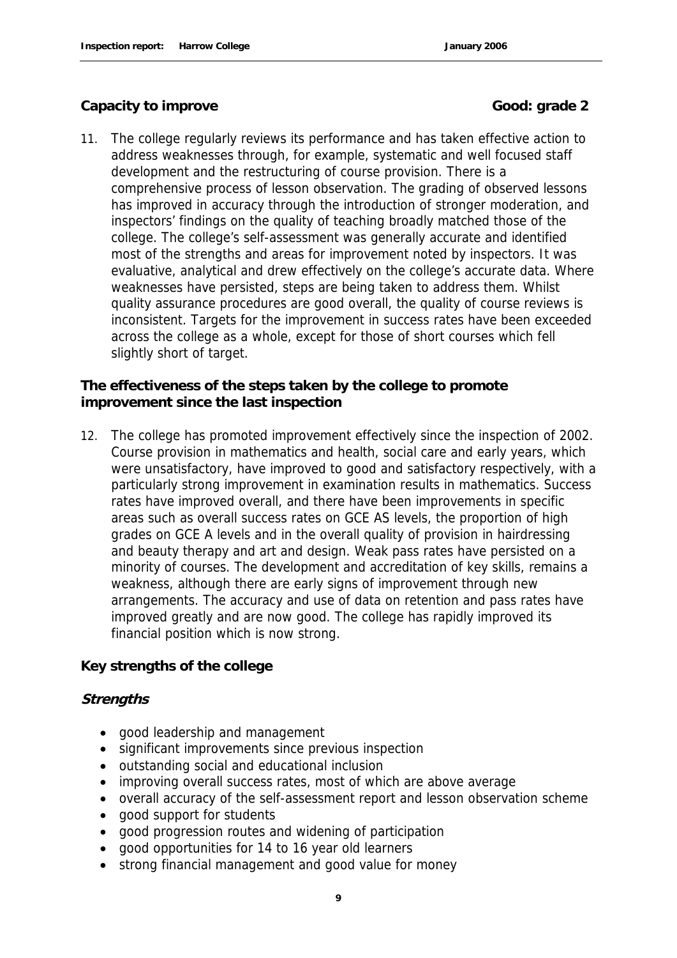#### Capacity to improve **Good:** Good: grade 2

11. The college regularly reviews its performance and has taken effective action to address weaknesses through, for example, systematic and well focused staff development and the restructuring of course provision. There is a comprehensive process of lesson observation. The grading of observed lessons has improved in accuracy through the introduction of stronger moderation, and inspectors' findings on the quality of teaching broadly matched those of the college. The college's self-assessment was generally accurate and identified most of the strengths and areas for improvement noted by inspectors. It was evaluative, analytical and drew effectively on the college's accurate data. Where weaknesses have persisted, steps are being taken to address them. Whilst quality assurance procedures are good overall, the quality of course reviews is inconsistent. Targets for the improvement in success rates have been exceeded across the college as a whole, except for those of short courses which fell slightly short of target.

**The effectiveness of the steps taken by the college to promote improvement since the last inspection**

12. The college has promoted improvement effectively since the inspection of 2002. Course provision in mathematics and health, social care and early years, which were unsatisfactory, have improved to good and satisfactory respectively, with a particularly strong improvement in examination results in mathematics. Success rates have improved overall, and there have been improvements in specific areas such as overall success rates on GCE AS levels, the proportion of high grades on GCE A levels and in the overall quality of provision in hairdressing and beauty therapy and art and design. Weak pass rates have persisted on a minority of courses. The development and accreditation of key skills, remains a weakness, although there are early signs of improvement through new arrangements. The accuracy and use of data on retention and pass rates have improved greatly and are now good. The college has rapidly improved its financial position which is now strong.

**Key strengths of the college**

#### **Strengths**

- good leadership and management
- significant improvements since previous inspection
- outstanding social and educational inclusion
- improving overall success rates, most of which are above average
- overall accuracy of the self-assessment report and lesson observation scheme
- good support for students
- good progression routes and widening of participation
- good opportunities for 14 to 16 year old learners
- strong financial management and good value for money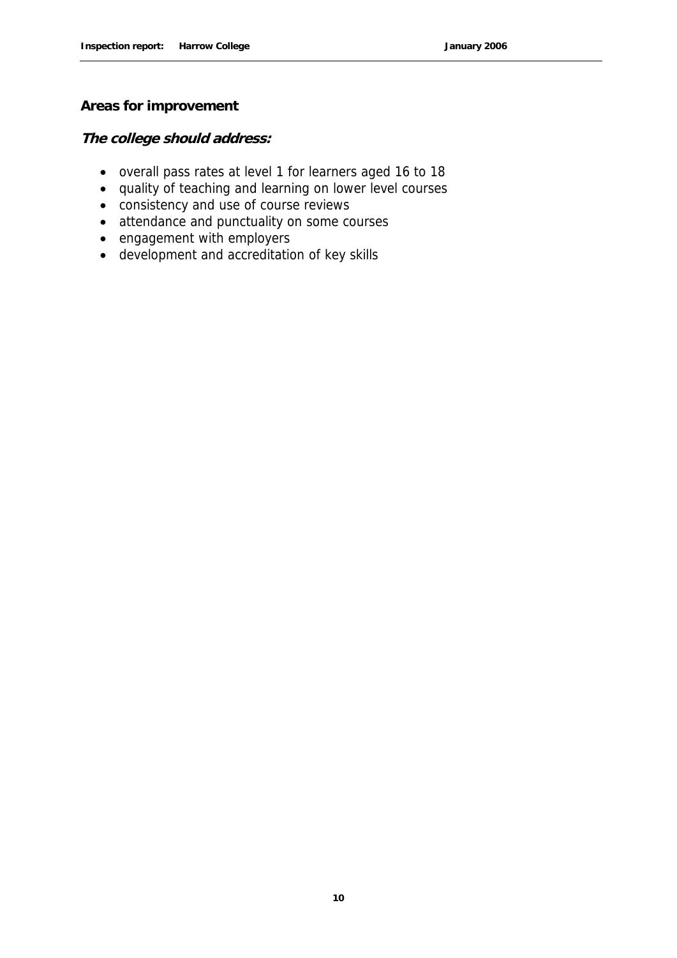#### **Areas for improvement**

**The college should address:**

- overall pass rates at level 1 for learners aged 16 to 18
- quality of teaching and learning on lower level courses
- consistency and use of course reviews
- attendance and punctuality on some courses
- engagement with employers
- development and accreditation of key skills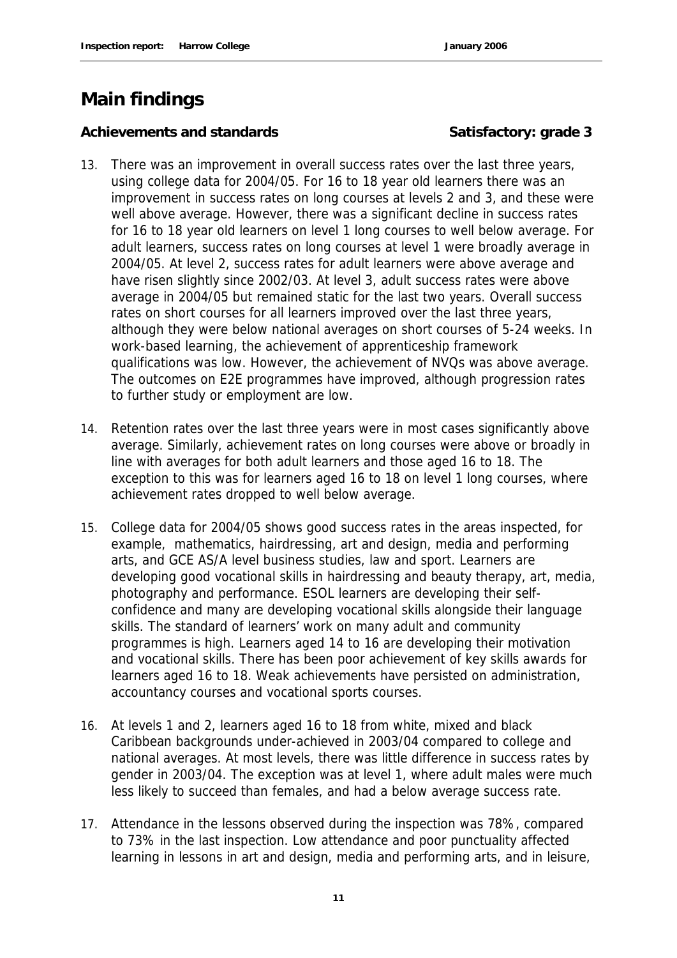### **Main findings**

#### Achievements and standards **Satisfactory: grade 3**

- 13. There was an improvement in overall success rates over the last three years, using college data for 2004/05. For 16 to 18 year old learners there was an improvement in success rates on long courses at levels 2 and 3, and these were well above average. However, there was a significant decline in success rates for 16 to 18 year old learners on level 1 long courses to well below average. For adult learners, success rates on long courses at level 1 were broadly average in 2004/05. At level 2, success rates for adult learners were above average and have risen slightly since 2002/03. At level 3, adult success rates were above average in 2004/05 but remained static for the last two years. Overall success rates on short courses for all learners improved over the last three years, although they were below national averages on short courses of 5-24 weeks. In work-based learning, the achievement of apprenticeship framework qualifications was low. However, the achievement of NVQs was above average. The outcomes on E2E programmes have improved, although progression rates to further study or employment are low.
- 14. Retention rates over the last three years were in most cases significantly above average. Similarly, achievement rates on long courses were above or broadly in line with averages for both adult learners and those aged 16 to 18. The exception to this was for learners aged 16 to 18 on level 1 long courses, where achievement rates dropped to well below average.
- 15. College data for 2004/05 shows good success rates in the areas inspected, for example, mathematics, hairdressing, art and design, media and performing arts, and GCE AS/A level business studies, law and sport. Learners are developing good vocational skills in hairdressing and beauty therapy, art, media, photography and performance. ESOL learners are developing their selfconfidence and many are developing vocational skills alongside their language skills. The standard of learners' work on many adult and community programmes is high. Learners aged 14 to 16 are developing their motivation and vocational skills. There has been poor achievement of key skills awards for learners aged 16 to 18. Weak achievements have persisted on administration, accountancy courses and vocational sports courses.
- 16. At levels 1 and 2, learners aged 16 to 18 from white, mixed and black Caribbean backgrounds under-achieved in 2003/04 compared to college and national averages. At most levels, there was little difference in success rates by gender in 2003/04. The exception was at level 1, where adult males were much less likely to succeed than females, and had a below average success rate.
- 17. Attendance in the lessons observed during the inspection was 78%, compared to 73% in the last inspection. Low attendance and poor punctuality affected learning in lessons in art and design, media and performing arts, and in leisure,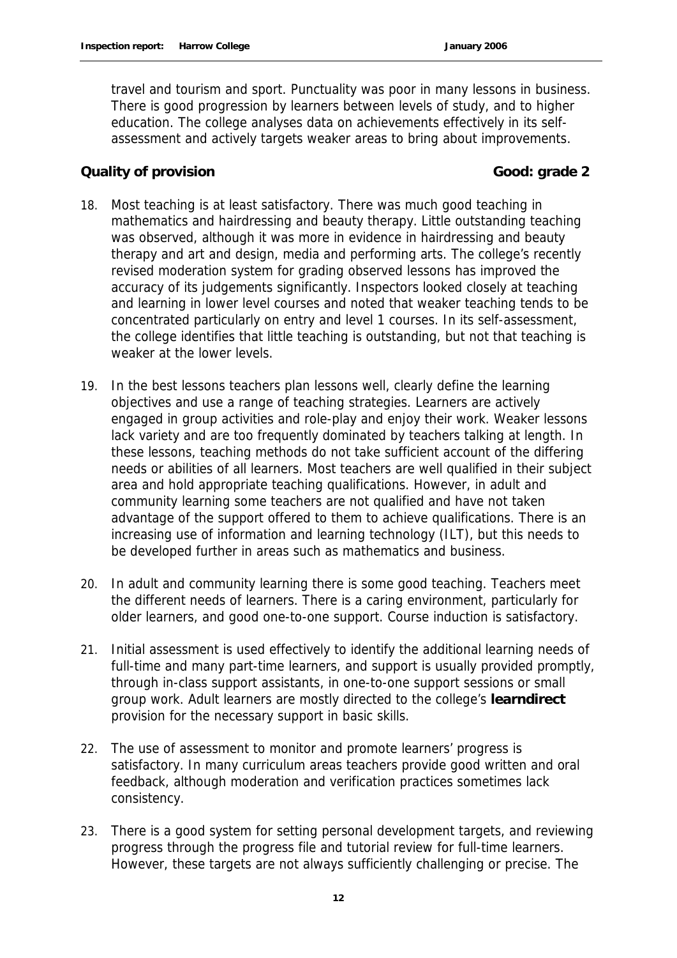travel and tourism and sport. Punctuality was poor in many lessons in business. There is good progression by learners between levels of study, and to higher education. The college analyses data on achievements effectively in its selfassessment and actively targets weaker areas to bring about improvements.

#### **Cauality of provision** Good: grade 2

- 18. Most teaching is at least satisfactory. There was much good teaching in mathematics and hairdressing and beauty therapy. Little outstanding teaching was observed, although it was more in evidence in hairdressing and beauty therapy and art and design, media and performing arts. The college's recently revised moderation system for grading observed lessons has improved the accuracy of its judgements significantly. Inspectors looked closely at teaching and learning in lower level courses and noted that weaker teaching tends to be concentrated particularly on entry and level 1 courses. In its self-assessment, the college identifies that little teaching is outstanding, but not that teaching is weaker at the lower levels.
- 19. In the best lessons teachers plan lessons well, clearly define the learning objectives and use a range of teaching strategies. Learners are actively engaged in group activities and role-play and enjoy their work. Weaker lessons lack variety and are too frequently dominated by teachers talking at length. In these lessons, teaching methods do not take sufficient account of the differing needs or abilities of all learners. Most teachers are well qualified in their subject area and hold appropriate teaching qualifications. However, in adult and community learning some teachers are not qualified and have not taken advantage of the support offered to them to achieve qualifications. There is an increasing use of information and learning technology (ILT), but this needs to be developed further in areas such as mathematics and business.
- 20. In adult and community learning there is some good teaching. Teachers meet the different needs of learners. There is a caring environment, particularly for older learners, and good one-to-one support. Course induction is satisfactory.
- 21. Initial assessment is used effectively to identify the additional learning needs of full-time and many part-time learners, and support is usually provided promptly, through in-class support assistants, in one-to-one support sessions or small group work. Adult learners are mostly directed to the college's **learndirect**  provision for the necessary support in basic skills.
- 22. The use of assessment to monitor and promote learners' progress is satisfactory. In many curriculum areas teachers provide good written and oral feedback, although moderation and verification practices sometimes lack consistency.
- 23. There is a good system for setting personal development targets, and reviewing progress through the progress file and tutorial review for full-time learners. However, these targets are not always sufficiently challenging or precise. The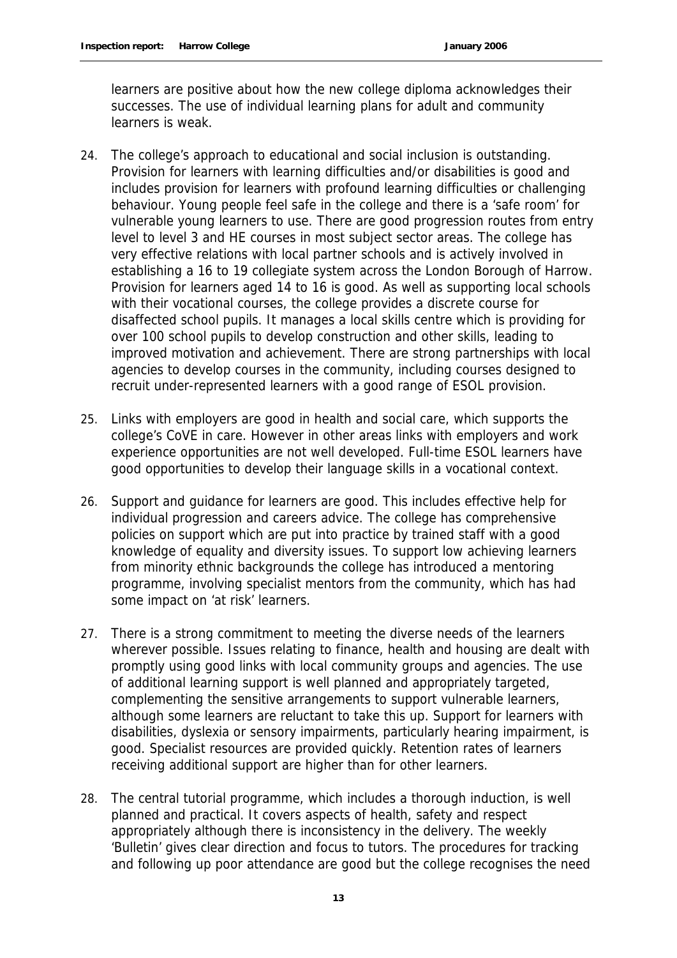learners are positive about how the new college diploma acknowledges their successes. The use of individual learning plans for adult and community learners is weak.

- 24. The college's approach to educational and social inclusion is outstanding. Provision for learners with learning difficulties and/or disabilities is good and includes provision for learners with profound learning difficulties or challenging behaviour. Young people feel safe in the college and there is a 'safe room' for vulnerable young learners to use. There are good progression routes from entry level to level 3 and HE courses in most subject sector areas. The college has very effective relations with local partner schools and is actively involved in establishing a 16 to 19 collegiate system across the London Borough of Harrow. Provision for learners aged 14 to 16 is good. As well as supporting local schools with their vocational courses, the college provides a discrete course for disaffected school pupils. It manages a local skills centre which is providing for over 100 school pupils to develop construction and other skills, leading to improved motivation and achievement. There are strong partnerships with local agencies to develop courses in the community, including courses designed to recruit under-represented learners with a good range of ESOL provision.
- 25. Links with employers are good in health and social care, which supports the college's CoVE in care. However in other areas links with employers and work experience opportunities are not well developed. Full-time ESOL learners have good opportunities to develop their language skills in a vocational context.
- 26. Support and guidance for learners are good. This includes effective help for individual progression and careers advice. The college has comprehensive policies on support which are put into practice by trained staff with a good knowledge of equality and diversity issues. To support low achieving learners from minority ethnic backgrounds the college has introduced a mentoring programme, involving specialist mentors from the community, which has had some impact on 'at risk' learners.
- 27. There is a strong commitment to meeting the diverse needs of the learners wherever possible. Issues relating to finance, health and housing are dealt with promptly using good links with local community groups and agencies. The use of additional learning support is well planned and appropriately targeted, complementing the sensitive arrangements to support vulnerable learners, although some learners are reluctant to take this up. Support for learners with disabilities, dyslexia or sensory impairments, particularly hearing impairment, is good. Specialist resources are provided quickly. Retention rates of learners receiving additional support are higher than for other learners.
- 28. The central tutorial programme, which includes a thorough induction, is well planned and practical. It covers aspects of health, safety and respect appropriately although there is inconsistency in the delivery. The weekly 'Bulletin' gives clear direction and focus to tutors. The procedures for tracking and following up poor attendance are good but the college recognises the need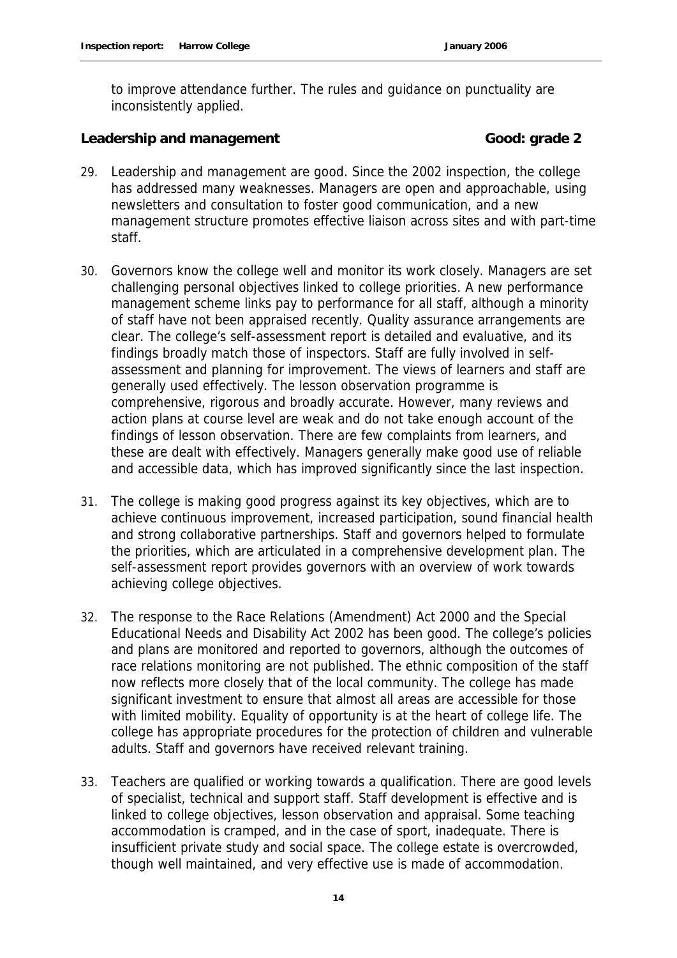to improve attendance further. The rules and guidance on punctuality are inconsistently applied.

Leadership and management **Cook** Good: grade 2

- 29. Leadership and management are good. Since the 2002 inspection, the college has addressed many weaknesses. Managers are open and approachable, using newsletters and consultation to foster good communication, and a new management structure promotes effective liaison across sites and with part-time staff.
- 30. Governors know the college well and monitor its work closely. Managers are set challenging personal objectives linked to college priorities. A new performance management scheme links pay to performance for all staff, although a minority of staff have not been appraised recently. Quality assurance arrangements are clear. The college's self-assessment report is detailed and evaluative, and its findings broadly match those of inspectors. Staff are fully involved in selfassessment and planning for improvement. The views of learners and staff are generally used effectively. The lesson observation programme is comprehensive, rigorous and broadly accurate. However, many reviews and action plans at course level are weak and do not take enough account of the findings of lesson observation. There are few complaints from learners, and these are dealt with effectively. Managers generally make good use of reliable and accessible data, which has improved significantly since the last inspection.
- 31. The college is making good progress against its key objectives, which are to achieve continuous improvement, increased participation, sound financial health and strong collaborative partnerships. Staff and governors helped to formulate the priorities, which are articulated in a comprehensive development plan. The self-assessment report provides governors with an overview of work towards achieving college objectives.
- 32. The response to the Race Relations (Amendment) Act 2000 and the Special Educational Needs and Disability Act 2002 has been good. The college's policies and plans are monitored and reported to governors, although the outcomes of race relations monitoring are not published. The ethnic composition of the staff now reflects more closely that of the local community. The college has made significant investment to ensure that almost all areas are accessible for those with limited mobility. Equality of opportunity is at the heart of college life. The college has appropriate procedures for the protection of children and vulnerable adults. Staff and governors have received relevant training.
- 33. Teachers are qualified or working towards a qualification. There are good levels of specialist, technical and support staff. Staff development is effective and is linked to college objectives, lesson observation and appraisal. Some teaching accommodation is cramped, and in the case of sport, inadequate. There is insufficient private study and social space. The college estate is overcrowded, though well maintained, and very effective use is made of accommodation.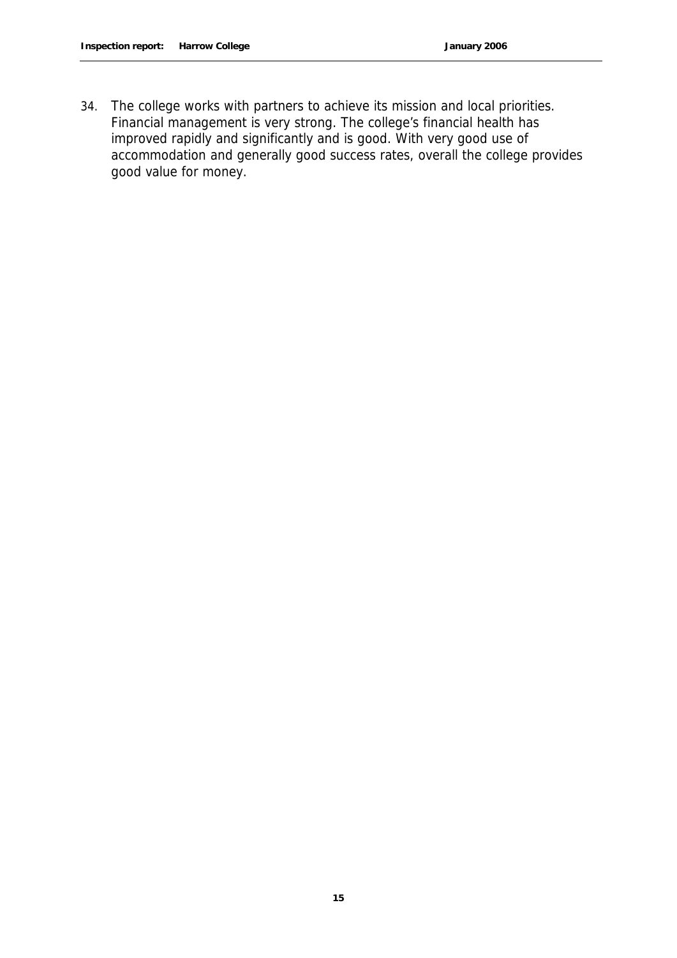34. The college works with partners to achieve its mission and local priorities. Financial management is very strong. The college's financial health has improved rapidly and significantly and is good. With very good use of accommodation and generally good success rates, overall the college provides good value for money.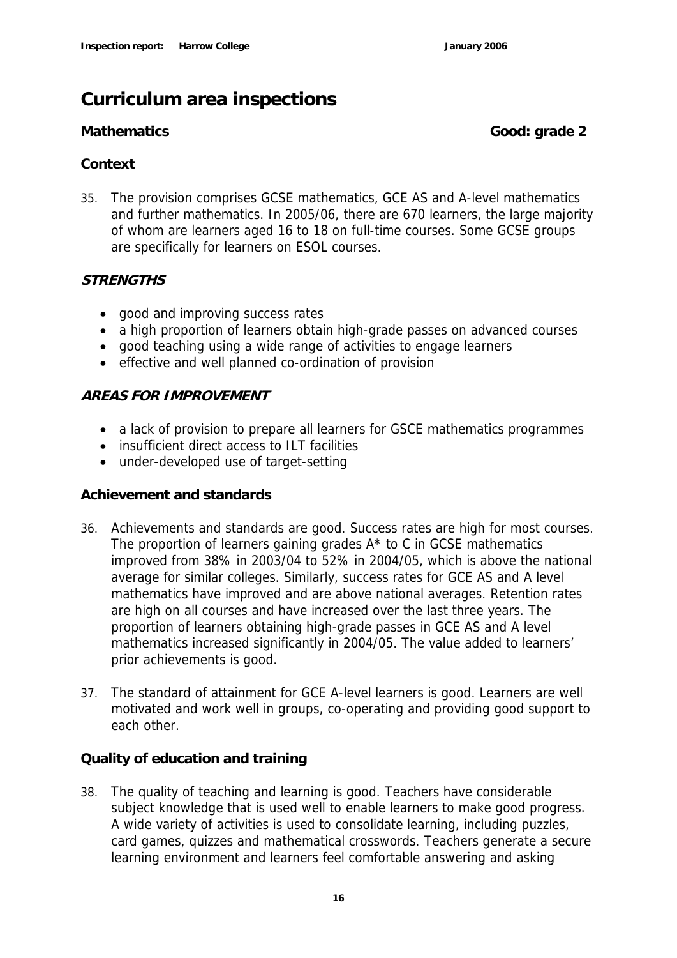### **Curriculum area inspections**

**Mathematics Good: grade 2** 

#### **Context**

35. The provision comprises GCSE mathematics, GCE AS and A-level mathematics and further mathematics. In 2005/06, there are 670 learners, the large majority of whom are learners aged 16 to 18 on full-time courses. Some GCSE groups are specifically for learners on ESOL courses.

#### **STRENGTHS**

- good and improving success rates
- a high proportion of learners obtain high-grade passes on advanced courses
- good teaching using a wide range of activities to engage learners
- effective and well planned co-ordination of provision

#### **AREAS FOR IMPROVEMENT**

- a lack of provision to prepare all learners for GSCE mathematics programmes
- insufficient direct access to ILT facilities
- under-developed use of target-setting

#### **Achievement and standards**

- 36. Achievements and standards are good. Success rates are high for most courses. The proportion of learners gaining grades A\* to C in GCSE mathematics improved from 38% in 2003/04 to 52% in 2004/05, which is above the national average for similar colleges. Similarly, success rates for GCE AS and A level mathematics have improved and are above national averages. Retention rates are high on all courses and have increased over the last three years. The proportion of learners obtaining high-grade passes in GCE AS and A level mathematics increased significantly in 2004/05. The value added to learners' prior achievements is good.
- 37. The standard of attainment for GCE A-level learners is good. Learners are well motivated and work well in groups, co-operating and providing good support to each other.

**Quality of education and training**

38. The quality of teaching and learning is good. Teachers have considerable subject knowledge that is used well to enable learners to make good progress. A wide variety of activities is used to consolidate learning, including puzzles, card games, quizzes and mathematical crosswords. Teachers generate a secure learning environment and learners feel comfortable answering and asking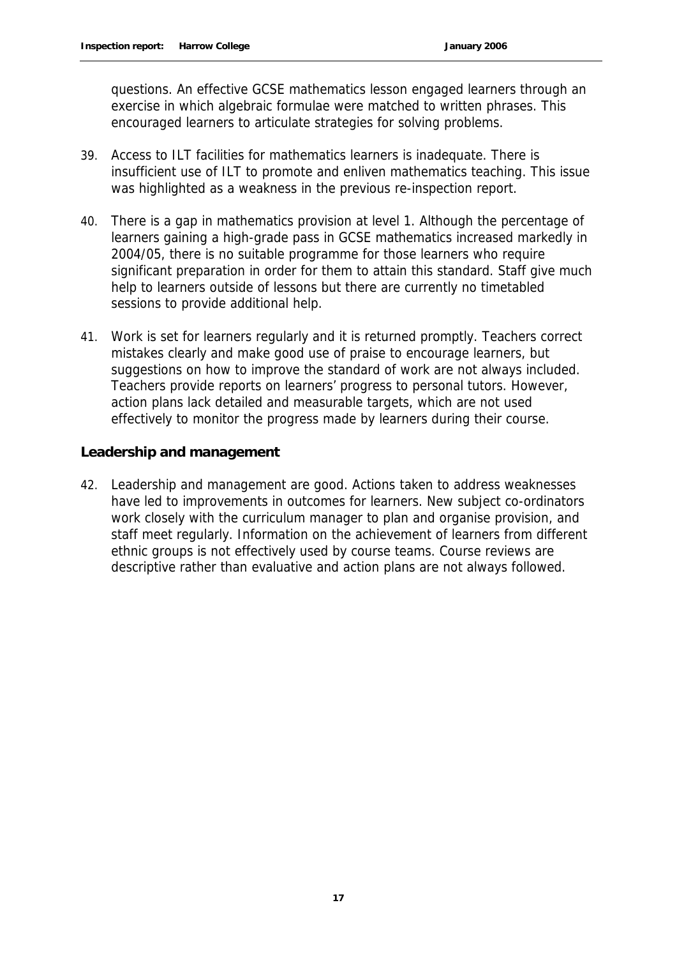questions. An effective GCSE mathematics lesson engaged learners through an exercise in which algebraic formulae were matched to written phrases. This encouraged learners to articulate strategies for solving problems.

- 39. Access to ILT facilities for mathematics learners is inadequate. There is insufficient use of ILT to promote and enliven mathematics teaching. This issue was highlighted as a weakness in the previous re-inspection report.
- 40. There is a gap in mathematics provision at level 1. Although the percentage of learners gaining a high-grade pass in GCSE mathematics increased markedly in 2004/05, there is no suitable programme for those learners who require significant preparation in order for them to attain this standard. Staff give much help to learners outside of lessons but there are currently no timetabled sessions to provide additional help.
- 41. Work is set for learners regularly and it is returned promptly. Teachers correct mistakes clearly and make good use of praise to encourage learners, but suggestions on how to improve the standard of work are not always included. Teachers provide reports on learners' progress to personal tutors. However, action plans lack detailed and measurable targets, which are not used effectively to monitor the progress made by learners during their course.

#### **Leadership and management**

42. Leadership and management are good. Actions taken to address weaknesses have led to improvements in outcomes for learners. New subject co-ordinators work closely with the curriculum manager to plan and organise provision, and staff meet regularly. Information on the achievement of learners from different ethnic groups is not effectively used by course teams. Course reviews are descriptive rather than evaluative and action plans are not always followed.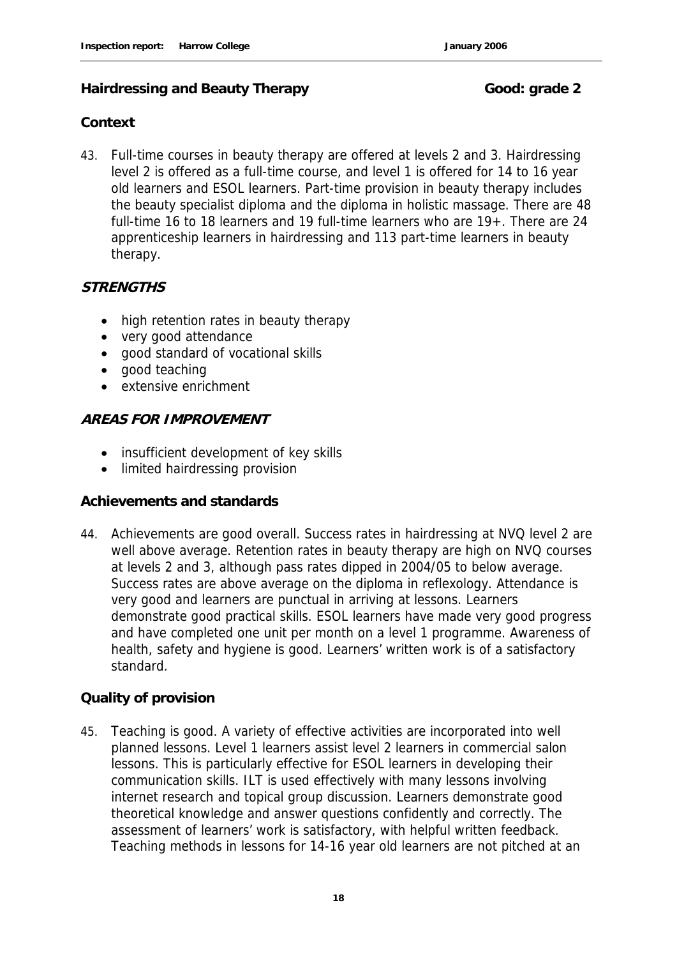#### Hairdressing and Beauty Therapy **Good:** Good: grade 2

#### **Context**

43. Full-time courses in beauty therapy are offered at levels 2 and 3. Hairdressing level 2 is offered as a full-time course, and level 1 is offered for 14 to 16 year old learners and ESOL learners. Part-time provision in beauty therapy includes the beauty specialist diploma and the diploma in holistic massage. There are 48 full-time 16 to 18 learners and 19 full-time learners who are 19+. There are 24 apprenticeship learners in hairdressing and 113 part-time learners in beauty therapy.

#### **STRENGTHS**

- high retention rates in beauty therapy
- very good attendance
- good standard of vocational skills
- good teaching
- extensive enrichment

#### **AREAS FOR IMPROVEMENT**

- insufficient development of key skills
- limited hairdressing provision

#### **Achievements and standards**

44. Achievements are good overall. Success rates in hairdressing at NVQ level 2 are well above average. Retention rates in beauty therapy are high on NVQ courses at levels 2 and 3, although pass rates dipped in 2004/05 to below average. Success rates are above average on the diploma in reflexology. Attendance is very good and learners are punctual in arriving at lessons. Learners demonstrate good practical skills. ESOL learners have made very good progress and have completed one unit per month on a level 1 programme. Awareness of health, safety and hygiene is good. Learners' written work is of a satisfactory standard.

#### **Quality of provision**

45. Teaching is good. A variety of effective activities are incorporated into well planned lessons. Level 1 learners assist level 2 learners in commercial salon lessons. This is particularly effective for ESOL learners in developing their communication skills. ILT is used effectively with many lessons involving internet research and topical group discussion. Learners demonstrate good theoretical knowledge and answer questions confidently and correctly. The assessment of learners' work is satisfactory, with helpful written feedback. Teaching methods in lessons for 14-16 year old learners are not pitched at an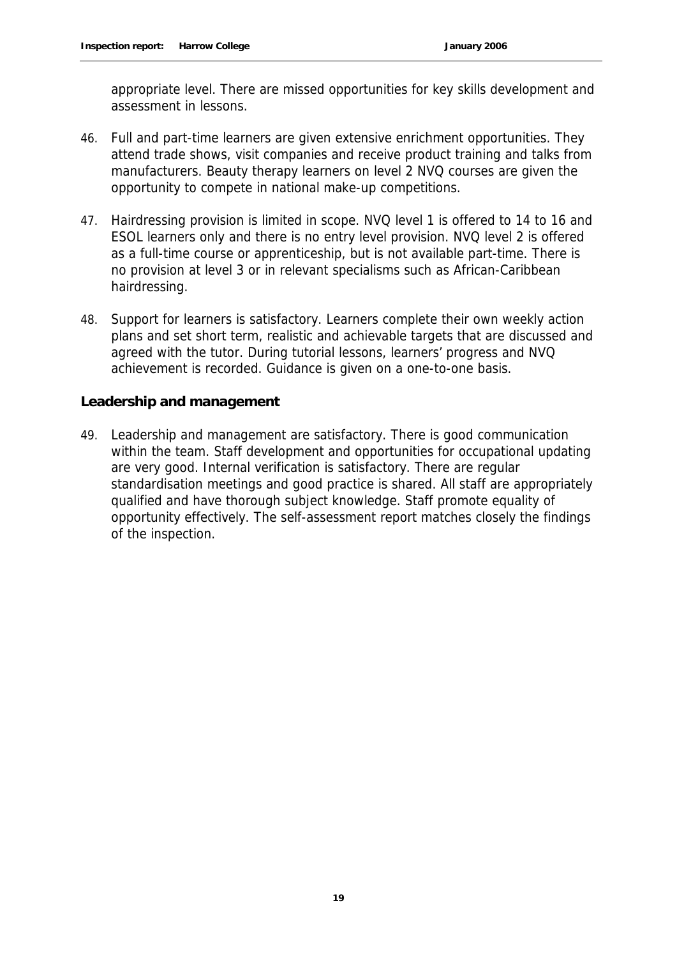appropriate level. There are missed opportunities for key skills development and assessment in lessons.

- 46. Full and part-time learners are given extensive enrichment opportunities. They attend trade shows, visit companies and receive product training and talks from manufacturers. Beauty therapy learners on level 2 NVQ courses are given the opportunity to compete in national make-up competitions.
- 47. Hairdressing provision is limited in scope. NVQ level 1 is offered to 14 to 16 and ESOL learners only and there is no entry level provision. NVQ level 2 is offered as a full-time course or apprenticeship, but is not available part-time. There is no provision at level 3 or in relevant specialisms such as African-Caribbean hairdressing.
- 48. Support for learners is satisfactory. Learners complete their own weekly action plans and set short term, realistic and achievable targets that are discussed and agreed with the tutor. During tutorial lessons, learners' progress and NVQ achievement is recorded. Guidance is given on a one-to-one basis.

**Leadership and management**

49. Leadership and management are satisfactory. There is good communication within the team. Staff development and opportunities for occupational updating are very good. Internal verification is satisfactory. There are regular standardisation meetings and good practice is shared. All staff are appropriately qualified and have thorough subject knowledge. Staff promote equality of opportunity effectively. The self-assessment report matches closely the findings of the inspection.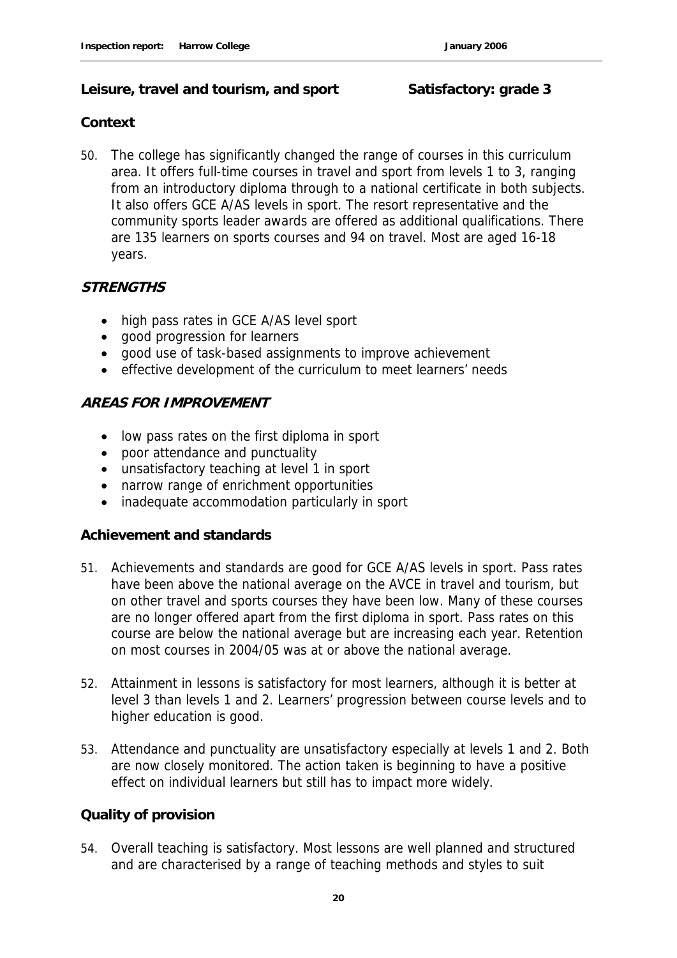#### **Leisure, travel and tourism, and sport Satisfactory: grade 3**

#### **Context**

50. The college has significantly changed the range of courses in this curriculum area. It offers full-time courses in travel and sport from levels 1 to 3, ranging from an introductory diploma through to a national certificate in both subjects. It also offers GCE A/AS levels in sport. The resort representative and the community sports leader awards are offered as additional qualifications. There are 135 learners on sports courses and 94 on travel. Most are aged 16-18 years.

#### **STRENGTHS**

- high pass rates in GCE A/AS level sport
- good progression for learners
- good use of task-based assignments to improve achievement
- effective development of the curriculum to meet learners' needs

#### **AREAS FOR IMPROVEMENT**

- low pass rates on the first diploma in sport
- poor attendance and punctuality
- unsatisfactory teaching at level 1 in sport
- narrow range of enrichment opportunities
- inadequate accommodation particularly in sport

#### **Achievement and standards**

- 51. Achievements and standards are good for GCE A/AS levels in sport. Pass rates have been above the national average on the AVCE in travel and tourism, but on other travel and sports courses they have been low. Many of these courses are no longer offered apart from the first diploma in sport. Pass rates on this course are below the national average but are increasing each year. Retention on most courses in 2004/05 was at or above the national average.
- 52. Attainment in lessons is satisfactory for most learners, although it is better at level 3 than levels 1 and 2. Learners' progression between course levels and to higher education is good.
- 53. Attendance and punctuality are unsatisfactory especially at levels 1 and 2. Both are now closely monitored. The action taken is beginning to have a positive effect on individual learners but still has to impact more widely.

#### **Quality of provision**

54. Overall teaching is satisfactory. Most lessons are well planned and structured and are characterised by a range of teaching methods and styles to suit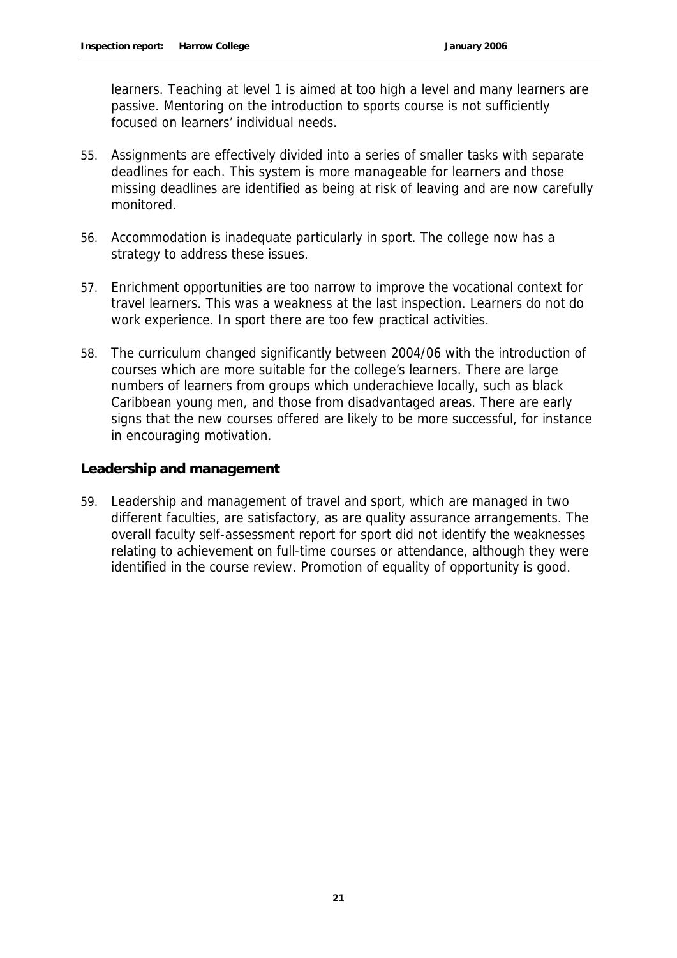learners. Teaching at level 1 is aimed at too high a level and many learners are passive. Mentoring on the introduction to sports course is not sufficiently focused on learners' individual needs.

- 55. Assignments are effectively divided into a series of smaller tasks with separate deadlines for each. This system is more manageable for learners and those missing deadlines are identified as being at risk of leaving and are now carefully monitored.
- 56. Accommodation is inadequate particularly in sport. The college now has a strategy to address these issues.
- 57. Enrichment opportunities are too narrow to improve the vocational context for travel learners. This was a weakness at the last inspection. Learners do not do work experience. In sport there are too few practical activities.
- 58. The curriculum changed significantly between 2004/06 with the introduction of courses which are more suitable for the college's learners. There are large numbers of learners from groups which underachieve locally, such as black Caribbean young men, and those from disadvantaged areas. There are early signs that the new courses offered are likely to be more successful, for instance in encouraging motivation.

#### **Leadership and management**

59. Leadership and management of travel and sport, which are managed in two different faculties, are satisfactory, as are quality assurance arrangements. The overall faculty self-assessment report for sport did not identify the weaknesses relating to achievement on full-time courses or attendance, although they were identified in the course review. Promotion of equality of opportunity is good.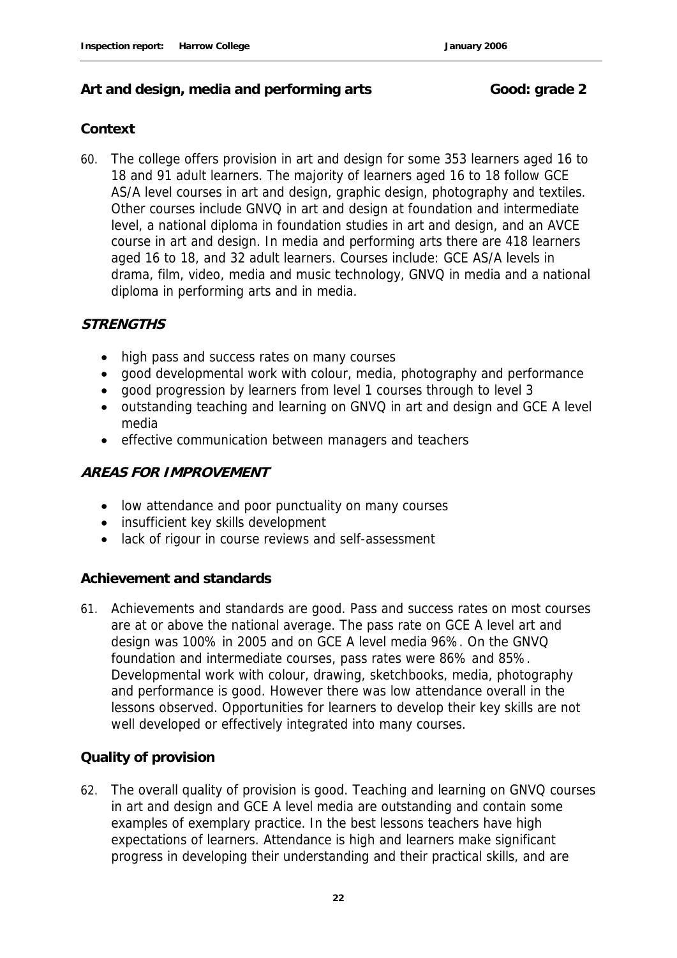#### Art and design, media and performing arts **Good: grade 2**

#### **Context**

60. The college offers provision in art and design for some 353 learners aged 16 to 18 and 91 adult learners. The majority of learners aged 16 to 18 follow GCE AS/A level courses in art and design, graphic design, photography and textiles. Other courses include GNVQ in art and design at foundation and intermediate level, a national diploma in foundation studies in art and design, and an AVCE course in art and design. In media and performing arts there are 418 learners aged 16 to 18, and 32 adult learners. Courses include: GCE AS/A levels in drama, film, video, media and music technology, GNVQ in media and a national diploma in performing arts and in media.

#### **STRENGTHS**

- high pass and success rates on many courses
- good developmental work with colour, media, photography and performance
- good progression by learners from level 1 courses through to level 3
- outstanding teaching and learning on GNVQ in art and design and GCE A level media
- effective communication between managers and teachers

#### **AREAS FOR IMPROVEMENT**

- low attendance and poor punctuality on many courses
- insufficient key skills development
- lack of rigour in course reviews and self-assessment

#### **Achievement and standards**

61. Achievements and standards are good. Pass and success rates on most courses are at or above the national average. The pass rate on GCE A level art and design was 100% in 2005 and on GCE A level media 96%. On the GNVQ foundation and intermediate courses, pass rates were 86% and 85%. Developmental work with colour, drawing, sketchbooks, media, photography and performance is good. However there was low attendance overall in the lessons observed. Opportunities for learners to develop their key skills are not well developed or effectively integrated into many courses.

#### **Quality of provision**

62. The overall quality of provision is good. Teaching and learning on GNVQ courses in art and design and GCE A level media are outstanding and contain some examples of exemplary practice. In the best lessons teachers have high expectations of learners. Attendance is high and learners make significant progress in developing their understanding and their practical skills, and are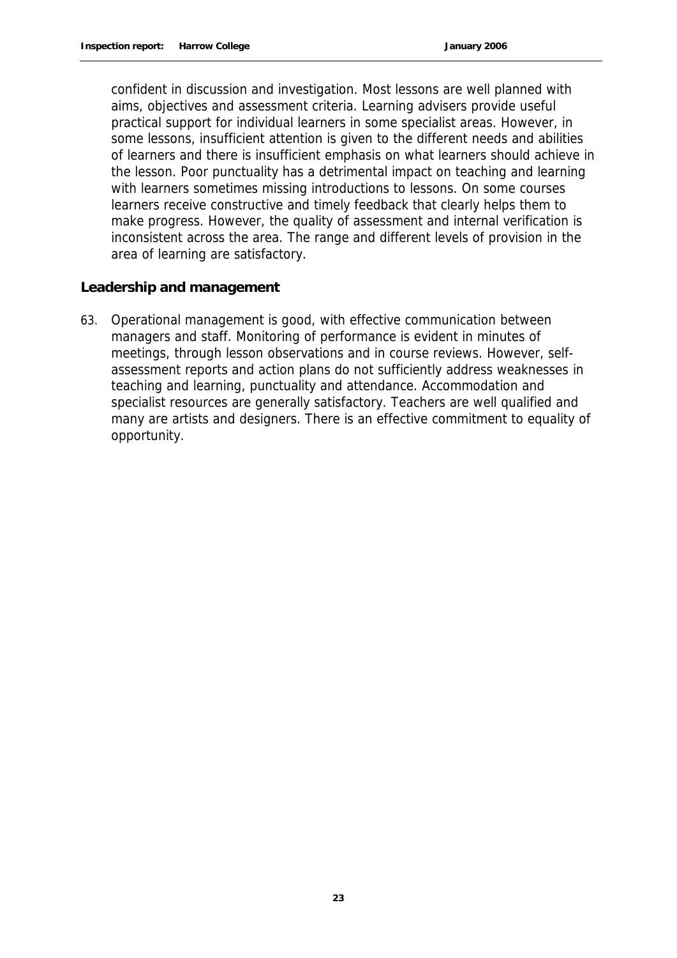confident in discussion and investigation. Most lessons are well planned with aims, objectives and assessment criteria. Learning advisers provide useful practical support for individual learners in some specialist areas. However, in some lessons, insufficient attention is given to the different needs and abilities of learners and there is insufficient emphasis on what learners should achieve in the lesson. Poor punctuality has a detrimental impact on teaching and learning with learners sometimes missing introductions to lessons. On some courses learners receive constructive and timely feedback that clearly helps them to make progress. However, the quality of assessment and internal verification is inconsistent across the area. The range and different levels of provision in the area of learning are satisfactory.

**Leadership and management**

63. Operational management is good, with effective communication between managers and staff. Monitoring of performance is evident in minutes of meetings, through lesson observations and in course reviews. However, selfassessment reports and action plans do not sufficiently address weaknesses in teaching and learning, punctuality and attendance. Accommodation and specialist resources are generally satisfactory. Teachers are well qualified and many are artists and designers. There is an effective commitment to equality of opportunity.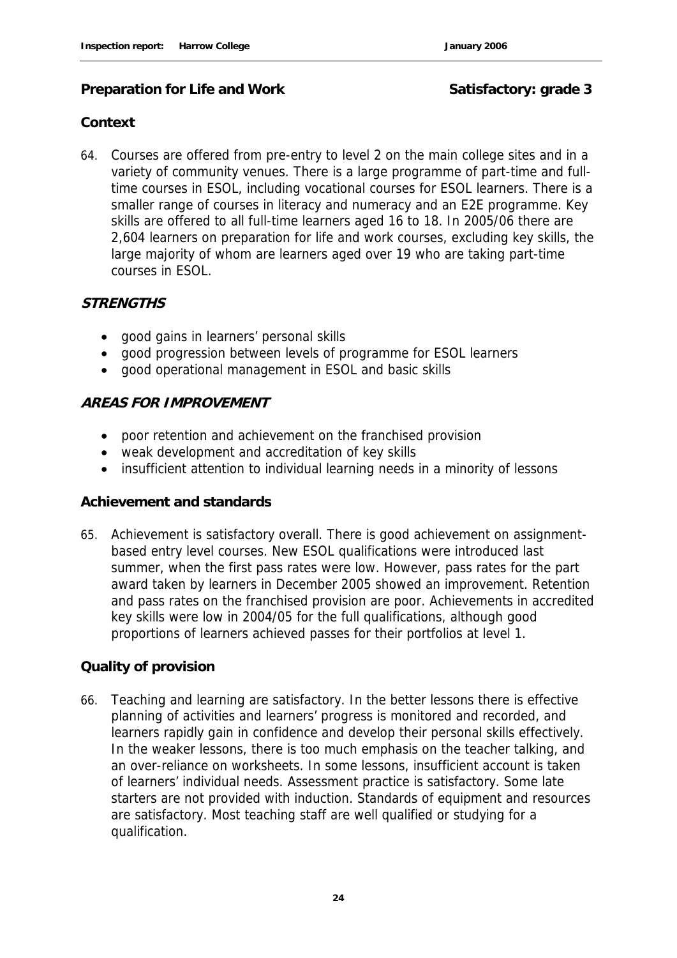#### **Preparation for Life and Work Satisfactory: grade 3**

#### **Context**

64. Courses are offered from pre-entry to level 2 on the main college sites and in a variety of community venues. There is a large programme of part-time and fulltime courses in ESOL, including vocational courses for ESOL learners. There is a smaller range of courses in literacy and numeracy and an E2E programme. Key skills are offered to all full-time learners aged 16 to 18. In 2005/06 there are 2,604 learners on preparation for life and work courses, excluding key skills, the large majority of whom are learners aged over 19 who are taking part-time courses in ESOL.

#### **STRENGTHS**

- good gains in learners' personal skills
- good progression between levels of programme for ESOL learners
- good operational management in ESOL and basic skills

#### **AREAS FOR IMPROVEMENT**

- poor retention and achievement on the franchised provision
- weak development and accreditation of key skills
- insufficient attention to individual learning needs in a minority of lessons

#### **Achievement and standards**

65. Achievement is satisfactory overall. There is good achievement on assignmentbased entry level courses. New ESOL qualifications were introduced last summer, when the first pass rates were low. However, pass rates for the part award taken by learners in December 2005 showed an improvement. Retention and pass rates on the franchised provision are poor. Achievements in accredited key skills were low in 2004/05 for the full qualifications, although good proportions of learners achieved passes for their portfolios at level 1.

#### **Quality of provision**

66. Teaching and learning are satisfactory. In the better lessons there is effective planning of activities and learners' progress is monitored and recorded, and learners rapidly gain in confidence and develop their personal skills effectively. In the weaker lessons, there is too much emphasis on the teacher talking, and an over-reliance on worksheets. In some lessons, insufficient account is taken of learners' individual needs. Assessment practice is satisfactory. Some late starters are not provided with induction. Standards of equipment and resources are satisfactory. Most teaching staff are well qualified or studying for a qualification.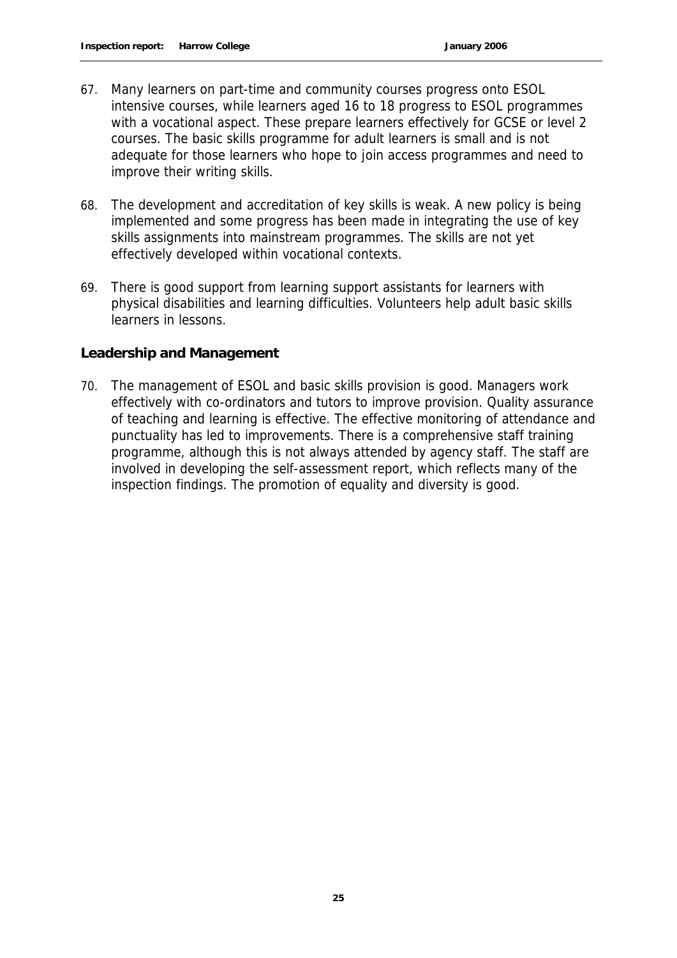- 67. Many learners on part-time and community courses progress onto ESOL intensive courses, while learners aged 16 to 18 progress to ESOL programmes with a vocational aspect. These prepare learners effectively for GCSE or level 2 courses. The basic skills programme for adult learners is small and is not adequate for those learners who hope to join access programmes and need to improve their writing skills.
- 68. The development and accreditation of key skills is weak. A new policy is being implemented and some progress has been made in integrating the use of key skills assignments into mainstream programmes. The skills are not yet effectively developed within vocational contexts.
- 69. There is good support from learning support assistants for learners with physical disabilities and learning difficulties. Volunteers help adult basic skills learners in lessons.

#### **Leadership and Management**

70. The management of ESOL and basic skills provision is good. Managers work effectively with co-ordinators and tutors to improve provision. Quality assurance of teaching and learning is effective. The effective monitoring of attendance and punctuality has led to improvements. There is a comprehensive staff training programme, although this is not always attended by agency staff. The staff are involved in developing the self-assessment report, which reflects many of the inspection findings. The promotion of equality and diversity is good.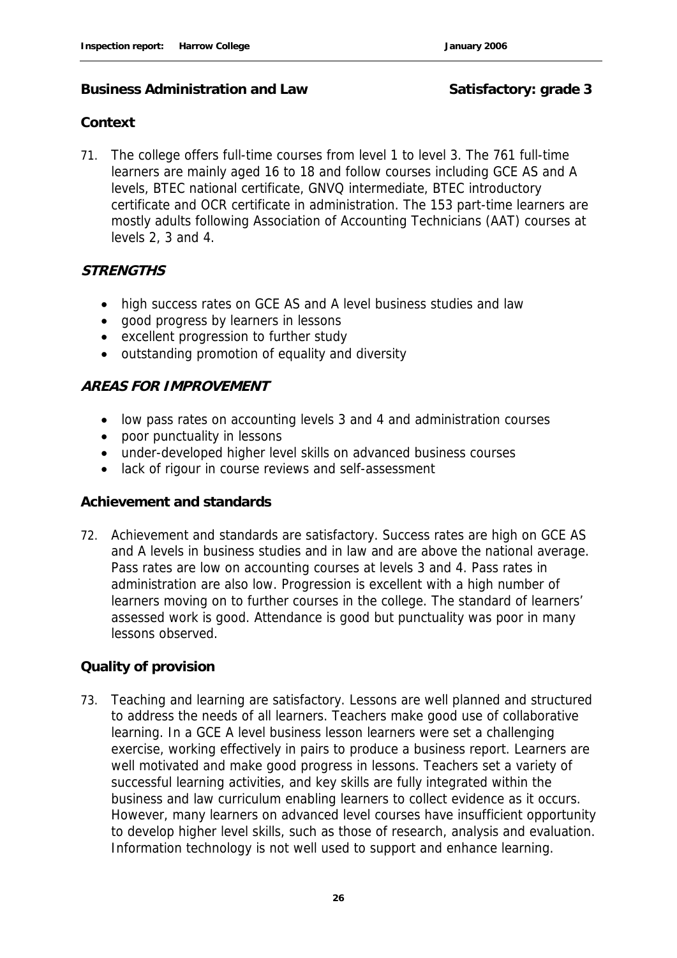#### **Business Administration and Law Satisfactory: grade 3**

#### **Context**

71. The college offers full-time courses from level 1 to level 3. The 761 full-time learners are mainly aged 16 to 18 and follow courses including GCE AS and A levels, BTEC national certificate, GNVQ intermediate, BTEC introductory certificate and OCR certificate in administration. The 153 part-time learners are mostly adults following Association of Accounting Technicians (AAT) courses at levels 2, 3 and 4.

#### **STRENGTHS**

- high success rates on GCE AS and A level business studies and law
- good progress by learners in lessons
- excellent progression to further study
- outstanding promotion of equality and diversity

#### **AREAS FOR IMPROVEMENT**

- low pass rates on accounting levels 3 and 4 and administration courses
- poor punctuality in lessons
- under-developed higher level skills on advanced business courses
- lack of rigour in course reviews and self-assessment

#### **Achievement and standards**

72. Achievement and standards are satisfactory. Success rates are high on GCE AS and A levels in business studies and in law and are above the national average. Pass rates are low on accounting courses at levels 3 and 4. Pass rates in administration are also low. Progression is excellent with a high number of learners moving on to further courses in the college. The standard of learners' assessed work is good. Attendance is good but punctuality was poor in many lessons observed.

#### **Quality of provision**

73. Teaching and learning are satisfactory. Lessons are well planned and structured to address the needs of all learners. Teachers make good use of collaborative learning. In a GCE A level business lesson learners were set a challenging exercise, working effectively in pairs to produce a business report. Learners are well motivated and make good progress in lessons. Teachers set a variety of successful learning activities, and key skills are fully integrated within the business and law curriculum enabling learners to collect evidence as it occurs. However, many learners on advanced level courses have insufficient opportunity to develop higher level skills, such as those of research, analysis and evaluation. Information technology is not well used to support and enhance learning.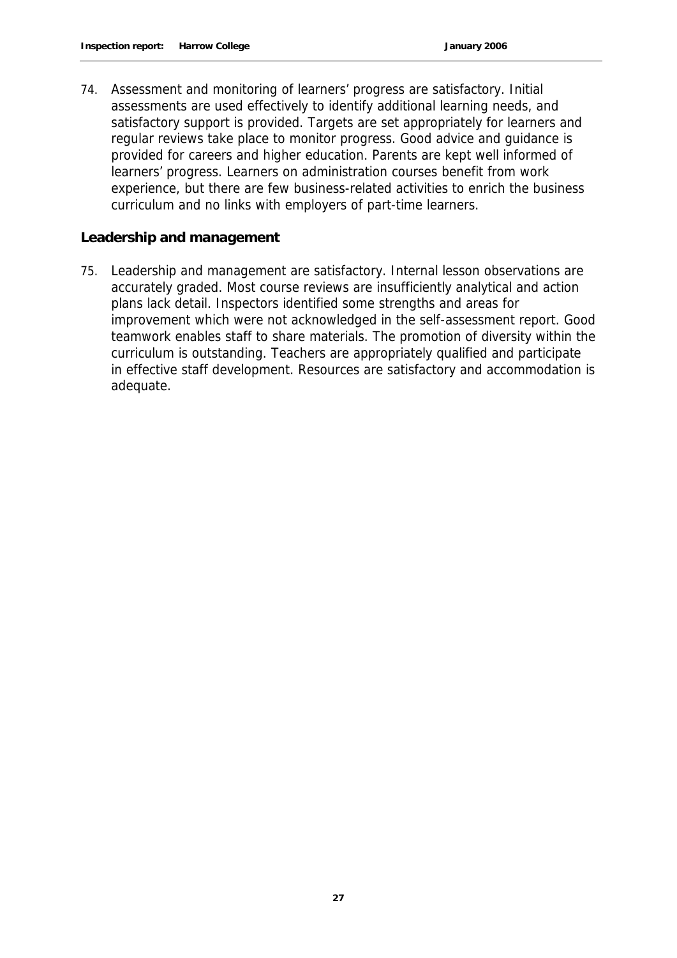74. Assessment and monitoring of learners' progress are satisfactory. Initial assessments are used effectively to identify additional learning needs, and satisfactory support is provided. Targets are set appropriately for learners and regular reviews take place to monitor progress. Good advice and guidance is provided for careers and higher education. Parents are kept well informed of learners' progress. Learners on administration courses benefit from work experience, but there are few business-related activities to enrich the business curriculum and no links with employers of part-time learners.

#### **Leadership and management**

75. Leadership and management are satisfactory. Internal lesson observations are accurately graded. Most course reviews are insufficiently analytical and action plans lack detail. Inspectors identified some strengths and areas for improvement which were not acknowledged in the self-assessment report. Good teamwork enables staff to share materials. The promotion of diversity within the curriculum is outstanding. Teachers are appropriately qualified and participate in effective staff development. Resources are satisfactory and accommodation is adequate.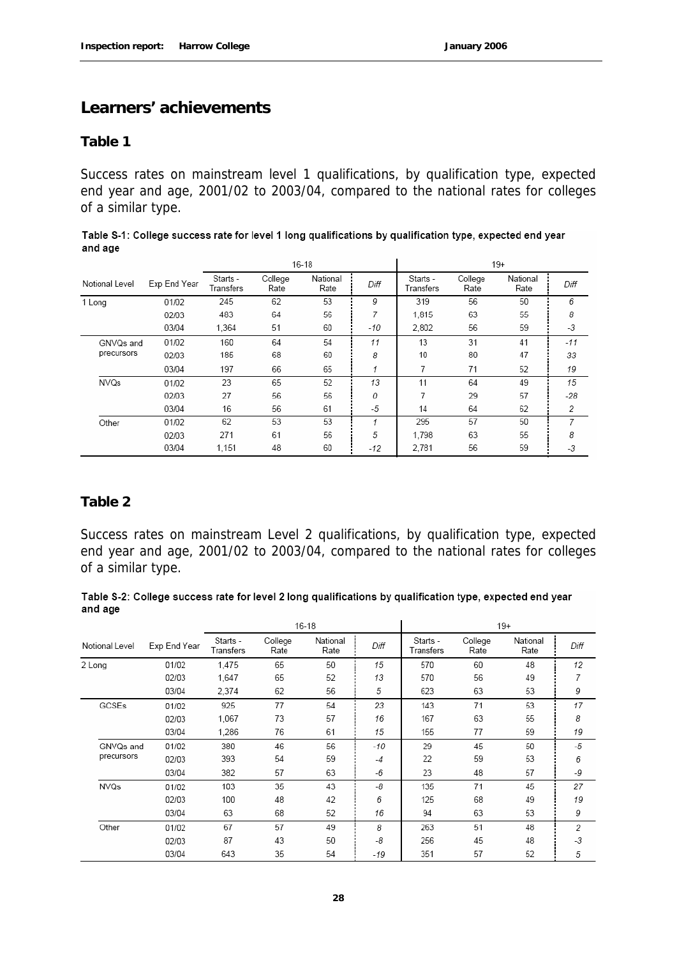#### **Learners' achievements**

#### **Table 1**

Success rates on mainstream level 1 qualifications, by qualification type, expected end year and age, 2001/02 to 2003/04, compared to the national rates for colleges of a similar type.

|                |              |                       |                 | $16 - 18$        |      |                       |                 | $19+$            |       |
|----------------|--------------|-----------------------|-----------------|------------------|------|-----------------------|-----------------|------------------|-------|
| Notional Level | Exp End Year | Starts -<br>Transfers | College<br>Rate | National<br>Rate | Diff | Starts -<br>Transfers | College<br>Rate | National<br>Rate | Diff  |
| 1 Long         | 01/02        | 245                   | 62              | 53               | 9    | 319                   | 56              | 50               | 6     |
|                | 02/03        | 483                   | 64              | 56               | 7    | 1.815                 | 63              | 55               | 8     |
|                | 03/04        | 1.364                 | 51              | 60               | -10  | 2.802                 | 56              | 59               | -3    |
| GNVQs and      | 01/02        | 160                   | 64              | 54               | 11   | 13                    | 31              | 41               | -11   |
| precursors     | 02/03        | 185                   | 68              | 60               | 8    | 10                    | 80              | 47               | 33    |
|                | 03/04        | 197                   | 66              | 65               | 4    | 7                     | 71              | 52               | 19    |
| <b>NVQs</b>    | 01/02        | 23                    | 65              | 52               | 13   | 11                    | 64              | 49               | 15    |
|                | 02/03        | 27                    | 56              | 56               | 0    | 7                     | 29              | 57               | $-28$ |
|                | 03/04        | 16                    | 56              | 61               | $-5$ | 14                    | 64              | 62               | 2     |
| Other          | 01/02        | 62                    | 53              | 53               | 4    | 295                   | 57              | 50               | 7     |
|                | 02/03        | 271                   | 61              | 56               | 5    | 1.798                 | 63              | 55               | 8     |
|                | 03/04        | 1.151                 | 48              | 60               | -12  | 2.781                 | 56              | 59               | -3    |

| Table S-1: College success rate for level 1 long qualifications by qualification type, expected end year |
|----------------------------------------------------------------------------------------------------------|
| and age                                                                                                  |

#### **Table 2**

Success rates on mainstream Level 2 qualifications, by qualification type, expected end year and age, 2001/02 to 2003/04, compared to the national rates for colleges of a similar type.

#### Table S-2: College success rate for level 2 long qualifications by qualification type, expected end year and age

|                |              | $16 - 18$             |                 |                  |      | $19+$                 |                 |                  |      |
|----------------|--------------|-----------------------|-----------------|------------------|------|-----------------------|-----------------|------------------|------|
| Notional Level | Exp End Year | Starts -<br>Transfers | College<br>Rate | National<br>Rate | Diff | Starts -<br>Transfers | College<br>Rate | National<br>Rate | Diff |
| 2 Long         | 01/02        | 1.475                 | 65              | 50               | 15   | 570                   | 60              | 48               | 12   |
|                | 02/03        | 1,647                 | 65              | 52               | 13   | 570                   | 56              | 49               | 7    |
|                | 03/04        | 2,374                 | 62              | 56               | 5    | 623                   | 63              | 53               | 9    |
| GCSEs          | 01/02        | 925                   | 77              | 54               | 23   | 143                   | 71              | 53               | 17   |
|                | 02/03        | 1,067                 | 73              | 57               | 16   | 167                   | 63              | 55               | 8    |
|                | 03/04        | 1,286                 | 76              | 61               | 15   | 155                   | 77              | 59               | 19   |
| GNVQs and      | 01/02        | 380                   | 46              | 56               | -10  | 29                    | 45              | 50               | $-5$ |
| precursors     | 02/03        | 393                   | 54              | 59               | $-4$ | 22                    | 59              | 53               | 6    |
|                | 03/04        | 382                   | 57              | 63               | -6   | 23                    | 48              | 57               | -9   |
| <b>NVQs</b>    | 01/02        | 103                   | 35              | 43               | -8   | 135                   | 71              | 45               | 27   |
|                | 02/03        | 100                   | 48              | 42               | 6    | 125                   | 68              | 49               | 19   |
|                | 03/04        | 63                    | 68              | 52               | 16   | 94                    | 63              | 53               | 9    |
| Other          | 01/02        | 67                    | 57              | 49               | 8    | 263                   | 51              | 48               | 2    |
|                | 02/03        | 87                    | 43              | 50               | -8   | 256                   | 45              | 48               | $-3$ |
|                | 03/04        | 643                   | 35              | 54               | -19  | 351                   | 57              | 52               | 5    |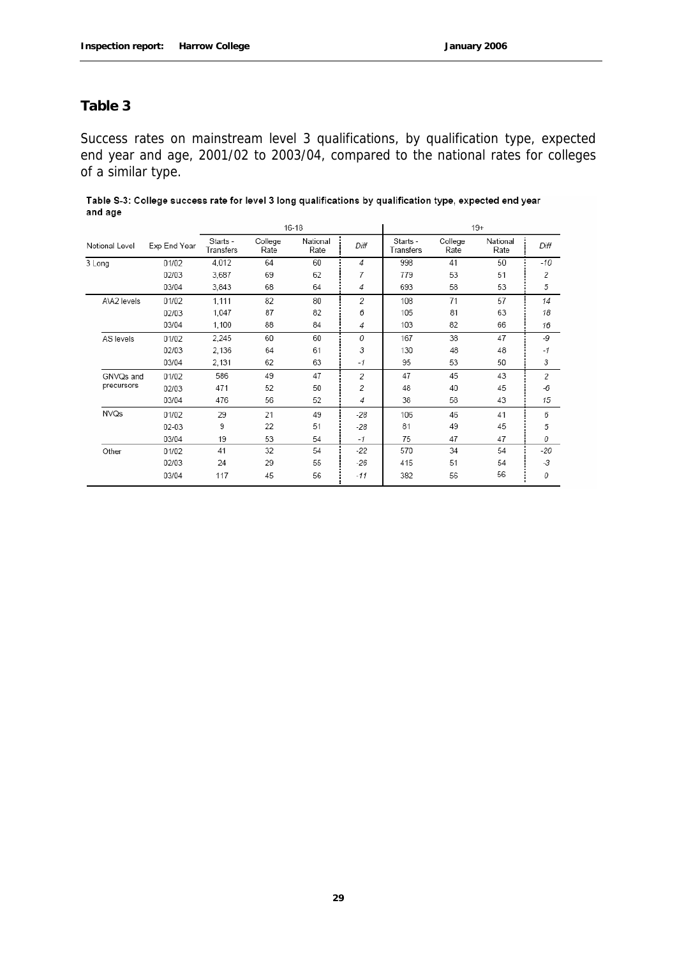#### **Table 3**

Success rates on mainstream level 3 qualifications, by qualification type, expected end year and age, 2001/02 to 2003/04, compared to the national rates for colleges of a similar type.

| Table S-3: College success rate for level 3 long qualifications by qualification type, expected end year |  |
|----------------------------------------------------------------------------------------------------------|--|
| and age                                                                                                  |  |

|                |              | 16-18                 |                 |                  |                | 19+                   |                 |                  |       |
|----------------|--------------|-----------------------|-----------------|------------------|----------------|-----------------------|-----------------|------------------|-------|
| Notional Level | Exp End Year | Starts -<br>Transfers | College<br>Rate | National<br>Rate | Diff           | Starts -<br>Transfers | College<br>Rate | National<br>Rate | Diff  |
| 3 Long         | 01/02        | 4.012                 | 64              | 60               | 4              | 998                   | 41              | 50               | -10   |
|                | 02/03        | 3,687                 | 69              | 62               | 7              | 779                   | 53              | 51               | 2     |
|                | 03/04        | 3,843                 | 68              | 64               | 4              | 693                   | 58              | 53               | 5     |
| A\A2 levels    | 01/02        | 1.111                 | 82              | 80               | 2              | 108                   | 71              | 57               | 14    |
|                | 02/03        | 1,047                 | 87              | 82               | 6              | 105                   | 81              | 63               | 18    |
|                | 03/04        | 1,100                 | 88              | 84               | 4              | 103                   | 82              | 66               | 16    |
| AS levels      | 01/02        | 2,245                 | 60              | 60               | 0              | 167                   | 38              | 47               | -9    |
|                | 02/03        | 2,136                 | 64              | 61               | 3              | 130                   | 48              | 48               | $-1$  |
|                | 03/04        | 2,131                 | 62              | 63               | $-1$           | 95                    | 53              | 50               | 3     |
| GNVQs and      | 01/02        | 586                   | 49              | 47               | $\overline{2}$ | 47                    | 45              | 43               | 2     |
| precursors     | 02/03        | 471                   | 52              | 50               | 2              | 48                    | 40              | 45               | $-6$  |
|                | 03/04        | 476                   | 56              | 52               | 4              | 38                    | 58              | 43               | 15    |
| NVQs           | 01/02        | 29                    | 21              | 49               | $-28$          | 106                   | 46              | 41               | 6     |
|                | 02-03        | 9                     | 22              | 51               | $-28$          | 81                    | 49              | 45               | 5     |
|                | 03/04        | 19                    | 53              | 54               | $-1$           | 75                    | 47              | 47               | 0     |
| Other          | 01/02        | 41                    | 32              | 54               | -22            | 570                   | 34              | 54               | $-20$ |
|                | 02/03        | 24                    | 29              | 55               | -26            | 415                   | 51              | 54               | $-3$  |
|                | 03/04        | 117                   | 45              | 56               | -11            | 382                   | 56              | 56               | 0     |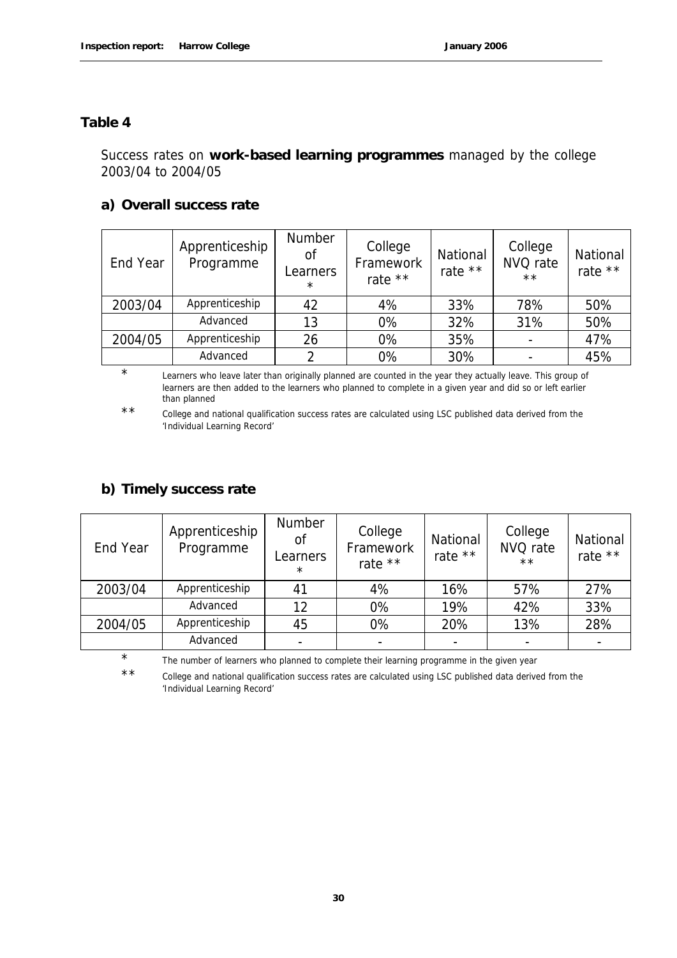#### **Table 4**

#### Success rates on **work-based learning programmes** managed by the college 2003/04 to 2004/05

#### **a) Overall success rate**

| End Year | Apprenticeship<br>Programme | Number<br><sub>of</sub><br>Learners<br>$\star$ | College<br>Framework<br>rate ** | National<br>rate ** | College<br>NVQ rate<br>$\star\star$ | National<br>rate ** |
|----------|-----------------------------|------------------------------------------------|---------------------------------|---------------------|-------------------------------------|---------------------|
| 2003/04  | Apprenticeship              | 42                                             | 4%                              | 33%                 | 78%                                 | 50%                 |
|          | Advanced                    | 13                                             | 0%                              | 32%                 | 31%                                 | 50%                 |
| 2004/05  | Apprenticeship              | 26                                             | 0%                              | 35%                 |                                     | 47%                 |
|          | Advanced                    |                                                | 0%                              | 30%                 |                                     | 45%                 |

<sup>\*</sup> Learners who leave later than originally planned are counted in the year they actually leave. This group of learners are then added to the learners who planned to complete in a given year and did so or left earlier than planned

#### **b) Timely success rate**

| End Year | Apprenticeship<br>Programme | <b>Number</b><br>Οf<br>Learners<br>$\star$ | College<br>Framework<br>rate ** | National<br>rate ** | College<br>NVQ rate<br>$***$ | National<br>rate $**$ |
|----------|-----------------------------|--------------------------------------------|---------------------------------|---------------------|------------------------------|-----------------------|
| 2003/04  | Apprenticeship              | 41                                         | 4%                              | 16%                 | 57%                          | 27%                   |
|          | Advanced                    | 12                                         | 0%                              | 19%                 | 42%                          | 33%                   |
| 2004/05  | Apprenticeship              | 45                                         | 0%                              | 20%                 | 13%                          | 28%                   |
|          | Advanced                    |                                            |                                 |                     |                              |                       |

\* The number of learners who planned to complete their learning programme in the given year

\*\* College and national qualification success rates are calculated using LSC published data derived from the 'Individual Learning Record'

<sup>\*\*</sup> College and national qualification success rates are calculated using LSC published data derived from the 'Individual Learning Record'